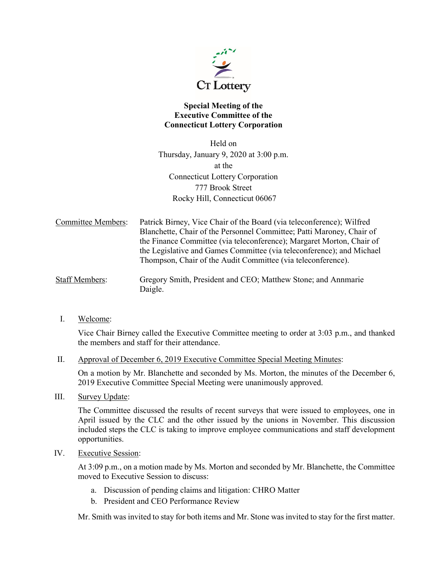

## **Special Meeting of the Executive Committee of the Connecticut Lottery Corporation**

Held on Thursday, January 9, 2020 at 3:00 p.m. at the Connecticut Lottery Corporation 777 Brook Street Rocky Hill, Connecticut 06067

Committee Members: Patrick Birney, Vice Chair of the Board (via teleconference); Wilfred Blanchette, Chair of the Personnel Committee; Patti Maroney, Chair of the Finance Committee (via teleconference); Margaret Morton, Chair of the Legislative and Games Committee (via teleconference); and Michael Thompson, Chair of the Audit Committee (via teleconference).

Staff Members: Gregory Smith, President and CEO; Matthew Stone; and Annmarie Daigle.

I. Welcome:

Vice Chair Birney called the Executive Committee meeting to order at 3:03 p.m., and thanked the members and staff for their attendance.

II. Approval of December 6, 2019 Executive Committee Special Meeting Minutes:

On a motion by Mr. Blanchette and seconded by Ms. Morton, the minutes of the December 6, 2019 Executive Committee Special Meeting were unanimously approved.

III. Survey Update:

The Committee discussed the results of recent surveys that were issued to employees, one in April issued by the CLC and the other issued by the unions in November. This discussion included steps the CLC is taking to improve employee communications and staff development opportunities.

IV. Executive Session:

At 3:09 p.m., on a motion made by Ms. Morton and seconded by Mr. Blanchette, the Committee moved to Executive Session to discuss:

- a. Discussion of pending claims and litigation: CHRO Matter
- b. President and CEO Performance Review

Mr. Smith was invited to stay for both items and Mr. Stone wasinvited to stay for the first matter.